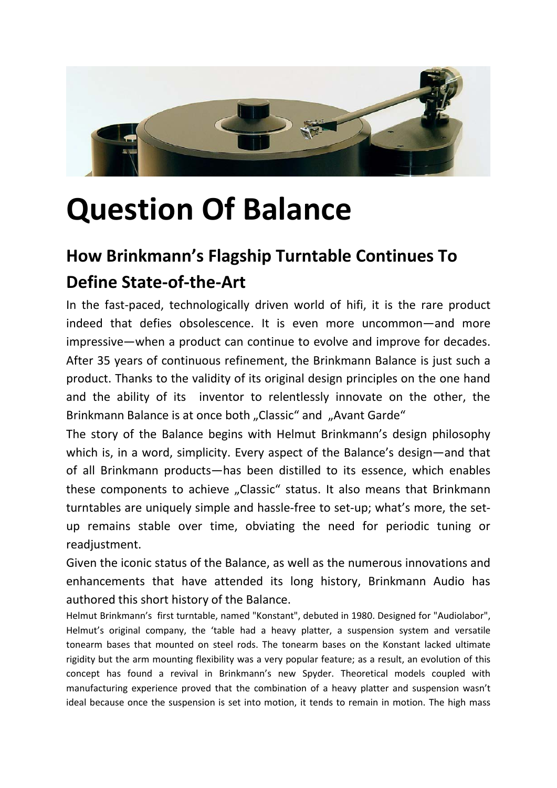

## **Question Of Balance**

## **How Brinkmann's Flagship Turntable Continues To Define State-of-the-Art**

In the fast-paced, technologically driven world of hifi, it is the rare product indeed that defies obsolescence. It is even more uncommon—and more impressive—when a product can continue to evolve and improve for decades. After 35 years of continuous refinement, the Brinkmann Balance is just such a product. Thanks to the validity of its original design principles on the one hand and the ability of its inventor to relentlessly innovate on the other, the Brinkmann Balance is at once both "Classic" and "Avant Garde"

The story of the Balance begins with Helmut Brinkmann's design philosophy which is, in a word, simplicity. Every aspect of the Balance's design—and that of all Brinkmann products—has been distilled to its essence, which enables these components to achieve "Classic" status. It also means that Brinkmann turntables are uniquely simple and hassle-free to set-up; what's more, the setup remains stable over time, obviating the need for periodic tuning or readjustment.

Given the iconic status of the Balance, as well as the numerous innovations and enhancements that have attended its long history, Brinkmann Audio has authored this short history of the Balance.

Helmut Brinkmann's first turntable, named "Konstant", debuted in 1980. Designed for "Audiolabor", Helmut's original company, the 'table had a heavy platter, a suspension system and versatile tonearm bases that mounted on steel rods. The tonearm bases on the Konstant lacked ultimate rigidity but the arm mounting flexibility was a very popular feature; as a result, an evolution of this concept has found a revival in Brinkmann's new Spyder. Theoretical models coupled with manufacturing experience proved that the combination of a heavy platter and suspension wasn't ideal because once the suspension is set into motion, it tends to remain in motion. The high mass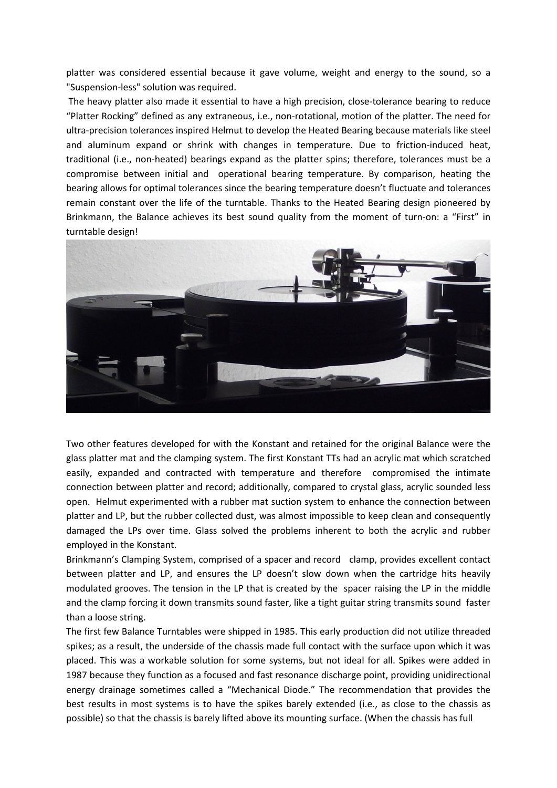platter was considered essential because it gave volume, weight and energy to the sound, so a "Suspension-less" solution was required.

The heavy platter also made it essential to have a high precision, close-tolerance bearing to reduce "Platter Rocking" defined as any extraneous, i.e., non-rotational, motion of the platter. The need for ultra-precision tolerances inspired Helmut to develop the Heated Bearing because materials like steel and aluminum expand or shrink with changes in temperature. Due to friction-induced heat, traditional (i.e., non-heated) bearings expand as the platter spins; therefore, tolerances must be a compromise between initial and operational bearing temperature. By comparison, heating the bearing allows for optimal tolerances since the bearing temperature doesn't fluctuate and tolerances remain constant over the life of the turntable. Thanks to the Heated Bearing design pioneered by Brinkmann, the Balance achieves its best sound quality from the moment of turn-on: a "First" in turntable design!



Two other features developed for with the Konstant and retained for the original Balance were the glass platter mat and the clamping system. The first Konstant TTs had an acrylic mat which scratched easily, expanded and contracted with temperature and therefore compromised the intimate connection between platter and record; additionally, compared to crystal glass, acrylic sounded less open. Helmut experimented with a rubber mat suction system to enhance the connection between platter and LP, but the rubber collected dust, was almost impossible to keep clean and consequently damaged the LPs over time. Glass solved the problems inherent to both the acrylic and rubber employed in the Konstant.

Brinkmann's Clamping System, comprised of a spacer and record clamp, provides excellent contact between platter and LP, and ensures the LP doesn't slow down when the cartridge hits heavily modulated grooves. The tension in the LP that is created by the spacer raising the LP in the middle and the clamp forcing it down transmits sound faster, like a tight guitar string transmits sound faster than a loose string.

The first few Balance Turntables were shipped in 1985. This early production did not utilize threaded spikes; as a result, the underside of the chassis made full contact with the surface upon which it was placed. This was a workable solution for some systems, but not ideal for all. Spikes were added in 1987 because they function as a focused and fast resonance discharge point, providing unidirectional energy drainage sometimes called a "Mechanical Diode." The recommendation that provides the best results in most systems is to have the spikes barely extended (i.e., as close to the chassis as possible) so that the chassis is barely lifted above its mounting surface. (When the chassis has full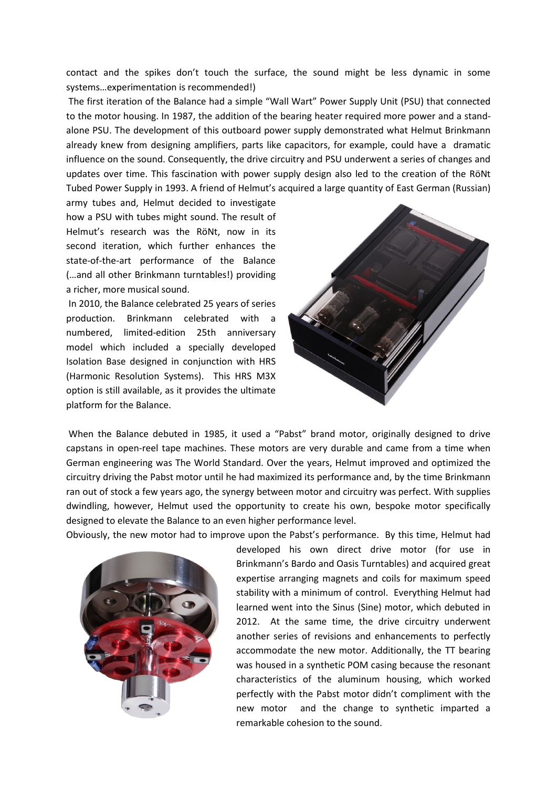contact and the spikes don't touch the surface, the sound might be less dynamic in some systems…experimentation is recommended!)

The first iteration of the Balance had a simple "Wall Wart" Power Supply Unit (PSU) that connected to the motor housing. In 1987, the addition of the bearing heater required more power and a standalone PSU. The development of this outboard power supply demonstrated what Helmut Brinkmann already knew from designing amplifiers, parts like capacitors, for example, could have a dramatic influence on the sound. Consequently, the drive circuitry and PSU underwent a series of changes and updates over time. This fascination with power supply design also led to the creation of the RöNt Tubed Power Supply in 1993. A friend of Helmut's acquired a large quantity of East German (Russian)

army tubes and, Helmut decided to investigate how a PSU with tubes might sound. The result of Helmut's research was the RöNt, now in its second iteration, which further enhances the state-of-the-art performance of the Balance (…and all other Brinkmann turntables!) providing a richer, more musical sound.

In 2010, the Balance celebrated 25 years of series production. Brinkmann celebrated with a numbered, limited-edition 25th anniversary model which included a specially developed Isolation Base designed in conjunction with HRS (Harmonic Resolution Systems). This HRS M3X option is still available, as it provides the ultimate platform for the Balance.



When the Balance debuted in 1985, it used a "Pabst" brand motor, originally designed to drive capstans in open-reel tape machines. These motors are very durable and came from a time when German engineering was The World Standard. Over the years, Helmut improved and optimized the circuitry driving the Pabst motor until he had maximized its performance and, by the time Brinkmann ran out of stock a few years ago, the synergy between motor and circuitry was perfect. With supplies dwindling, however, Helmut used the opportunity to create his own, bespoke motor specifically designed to elevate the Balance to an even higher performance level.

Obviously, the new motor had to improve upon the Pabst's performance. By this time, Helmut had



developed his own direct drive motor (for use in Brinkmann's Bardo and Oasis Turntables) and acquired great expertise arranging magnets and coils for maximum speed stability with a minimum of control. Everything Helmut had learned went into the Sinus (Sine) motor, which debuted in 2012. At the same time, the drive circuitry underwent another series of revisions and enhancements to perfectly accommodate the new motor. Additionally, the TT bearing was housed in a synthetic POM casing because the resonant characteristics of the aluminum housing, which worked perfectly with the Pabst motor didn't compliment with the new motor and the change to synthetic imparted a remarkable cohesion to the sound.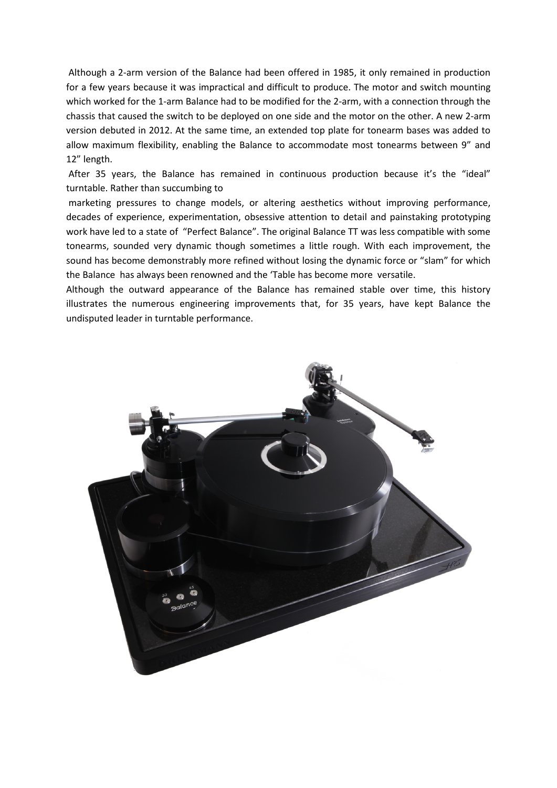Although a 2-arm version of the Balance had been offered in 1985, it only remained in production for a few years because it was impractical and difficult to produce. The motor and switch mounting which worked for the 1-arm Balance had to be modified for the 2-arm, with a connection through the chassis that caused the switch to be deployed on one side and the motor on the other. A new 2-arm version debuted in 2012. At the same time, an extended top plate for tonearm bases was added to allow maximum flexibility, enabling the Balance to accommodate most tonearms between 9" and 12" length.

After 35 years, the Balance has remained in continuous production because it's the "ideal" turntable. Rather than succumbing to

marketing pressures to change models, or altering aesthetics without improving performance, decades of experience, experimentation, obsessive attention to detail and painstaking prototyping work have led to a state of "Perfect Balance". The original Balance TT was less compatible with some tonearms, sounded very dynamic though sometimes a little rough. With each improvement, the sound has become demonstrably more refined without losing the dynamic force or "slam" for which the Balance has always been renowned and the 'Table has become more versatile.

Although the outward appearance of the Balance has remained stable over time, this history illustrates the numerous engineering improvements that, for 35 years, have kept Balance the undisputed leader in turntable performance.